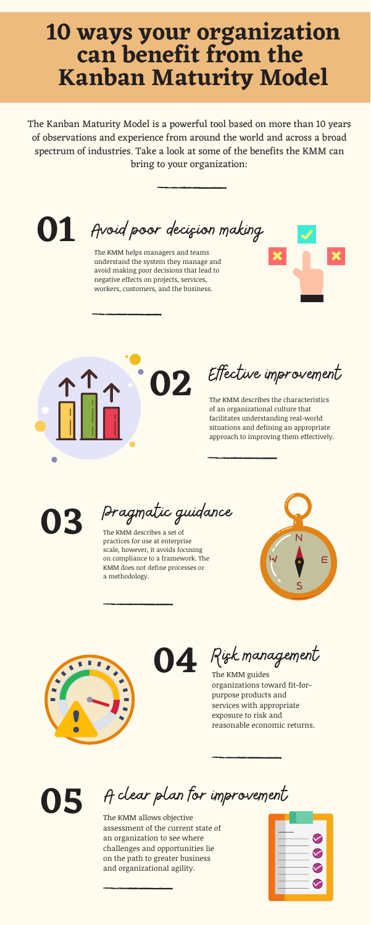## **10 ways your organization can benefit from the Kanban Maturity Model**

The Kanban [Maturity](https://djaa.lt.acemlna.com/Prod/link-tracker?notrack=1&redirectUrl=aHR0cHMlM0ElMkYlMkZkamFhLmNvbSUyRmthbmJhbi1tYXR1cml0eS1tb2RlbCUyRiUzRnV0bV9zb3VyY2UlM0ROZXdzbGV0dGVyJTI2dXRtX21lZGl1bSUzRGVtYWlsJTI2dXRtX2NvbnRlbnQlM0QxMCUyQldheXMlMkJZb3VyJTJCT3JnYW5pemF0aW9uJTJCQ2FuJTJCQmVuZWZpdCUyQmZyb20lMkJ0aGUlMkJLTU0lMjZ1dG1fY2FtcGFpZ24lM0Q1JTJCYmVuZWZpdHMlMkJmb3IlMkJjb3Jwb3JhdGlvbnM=&a=475696387&account=djaa%2Eactivehosted%2Ecom&email=L1UfHCxYUCdTxjz4HeIFYw%3D%3D&s=ebb31f161ef85e5f3273b299e019783d&i=455A659A80A5314) Model is a powerful tool based on more than 10 years of observations and experience from around the world and across a broad spectrum of industries. Take a look at some of the benefits the KMM can bring to your organization:

**01** Avoid poor decision making

The KMM helps managers and teams understand the system they manage and avoid making poor decisions that lead to negative effects on projects, services, workers, customers, and the business.



The KMM describes the characteristics of an organizational culture that facilitates understanding real-world situations and defining an appropriate approach to improving them effectively.

The KMM guides organizations toward fit-forpurpose products and services with appropriate exposure to risk and reasonable economic returns.

The KMM allows objective assessment of the current state of an organization to see where challenges and opportunities lie on the path to greater business and organizational agility.



A clear plan for improvement

**03**

**05**



Effective improvement

The KMM describes a set of practices for use at enterprise scale, however, it avoids focusing



on compliance to a framework. The KMM does not define processes or a methodology.



**04** Rigk management

Pragmatic guidance